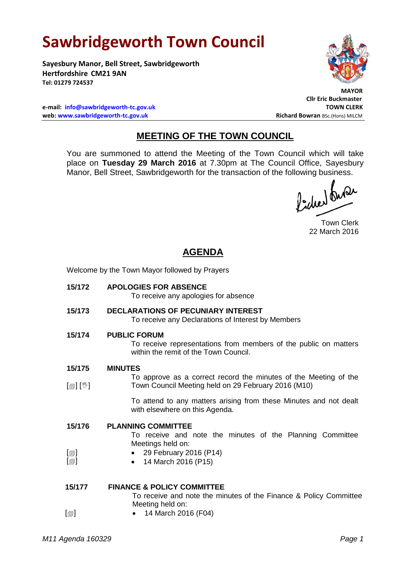# **Sawbridgeworth Town Council**

**Sayesbury Manor, Bell Street, Sawbridgeworth Hertfordshire CM21 9AN Tel: 01279 724537**



 **MAYOR**

**Cllr Eric Buckmaster**

**e-mail: [info@sawbridgeworth-tc.gov.uk](mailto:info@sawbridgeworth-tc.gov.uk) TOWN CLERK web: www.sawbridgeworth-tc.gov.uk Richard Bowran BSc.(Hons) MILCM Richard Bowran BSc.(Hons) MILCM** 

# **MEETING OF THE TOWN COUNCIL**

You are summoned to attend the Meeting of the Town Council which will take place on **Tuesday 29 March 2016** at 7.30pm at The Council Office, Sayesbury Manor, Bell Street, Sawbridgeworth for the transaction of the following business.<br>  $\Lambda$  ,  $\Lambda$ 

Town Clerk 22 March 2016

# **AGENDA**

Welcome by the Town Mayor followed by Prayers

**15/172 APOLOGIES FOR ABSENCE**

To receive any apologies for absence

- **15/173 DECLARATIONS OF PECUNIARY INTEREST** To receive any Declarations of Interest by Members
- **15/174 PUBLIC FORUM**

To receive representations from members of the public on matters within the remit of the Town Council.

- **15/175 MINUTES**
- $[\circledast]$   $[\circledast]$ To approve as a correct record the minutes of the Meeting of the Town Council Meeting held on 29 February 2016 (M10)

To attend to any matters arising from these Minutes and not dealt with elsewhere on this Agenda.

| 15/176           | <b>PLANNING COMMITTEE</b>                                 |
|------------------|-----------------------------------------------------------|
|                  | To receive and note the minutes of the Planning Committee |
|                  | Meetings held on:                                         |
| $[\blacksquare]$ | • 29 February 2016 (P14)                                  |
| $[\blacksquare]$ | • 14 March 2016 (P15)                                     |
|                  |                                                           |

| 15/177           | <b>FINANCE &amp; POLICY COMMITTEE</b>                             |
|------------------|-------------------------------------------------------------------|
|                  | To receive and note the minutes of the Finance & Policy Committee |
|                  | Meeting held on:                                                  |
| $[\blacksquare]$ | • 14 March 2016 (F04)                                             |